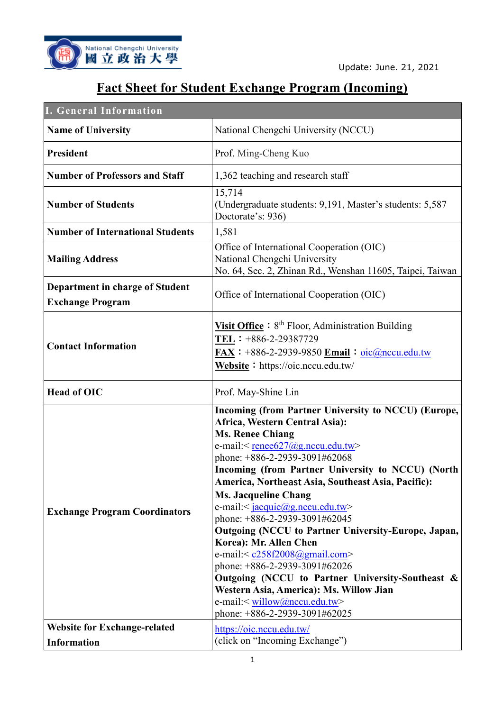

## **Fact Sheet for Student Exchange Program (Incoming)**

| <b>I. General Information</b>                                     |                                                                                                                                                                                                                                                                                                                                                                                                                                                                                                                                                                                                                                                                                                                                                                                                        |
|-------------------------------------------------------------------|--------------------------------------------------------------------------------------------------------------------------------------------------------------------------------------------------------------------------------------------------------------------------------------------------------------------------------------------------------------------------------------------------------------------------------------------------------------------------------------------------------------------------------------------------------------------------------------------------------------------------------------------------------------------------------------------------------------------------------------------------------------------------------------------------------|
| <b>Name of University</b>                                         | National Chengchi University (NCCU)                                                                                                                                                                                                                                                                                                                                                                                                                                                                                                                                                                                                                                                                                                                                                                    |
| <b>President</b>                                                  | Prof. Ming-Cheng Kuo                                                                                                                                                                                                                                                                                                                                                                                                                                                                                                                                                                                                                                                                                                                                                                                   |
| <b>Number of Professors and Staff</b>                             | 1,362 teaching and research staff                                                                                                                                                                                                                                                                                                                                                                                                                                                                                                                                                                                                                                                                                                                                                                      |
| <b>Number of Students</b>                                         | 15,714<br>(Undergraduate students: 9,191, Master's students: 5,587<br>Doctorate's: 936)                                                                                                                                                                                                                                                                                                                                                                                                                                                                                                                                                                                                                                                                                                                |
| <b>Number of International Students</b>                           | 1,581                                                                                                                                                                                                                                                                                                                                                                                                                                                                                                                                                                                                                                                                                                                                                                                                  |
| <b>Mailing Address</b>                                            | Office of International Cooperation (OIC)<br>National Chengchi University<br>No. 64, Sec. 2, Zhinan Rd., Wenshan 11605, Taipei, Taiwan                                                                                                                                                                                                                                                                                                                                                                                                                                                                                                                                                                                                                                                                 |
| <b>Department in charge of Student</b><br><b>Exchange Program</b> | Office of International Cooperation (OIC)                                                                                                                                                                                                                                                                                                                                                                                                                                                                                                                                                                                                                                                                                                                                                              |
| <b>Contact Information</b>                                        | <b>Visit Office</b> : $8th$ Floor, Administration Building<br>TEL: +886-2-29387729<br>$\overline{\text{FAX}}$ : +886-2-2939-9850 $\overline{\text{Email}}$ : oic@nccu.edu.tw<br>Website: https://oic.nccu.edu.tw/                                                                                                                                                                                                                                                                                                                                                                                                                                                                                                                                                                                      |
| <b>Head of OIC</b>                                                | Prof. May-Shine Lin                                                                                                                                                                                                                                                                                                                                                                                                                                                                                                                                                                                                                                                                                                                                                                                    |
| <b>Exchange Program Coordinators</b>                              | Incoming (from Partner University to NCCU) (Europe,<br>Africa, Western Central Asia):<br><b>Ms. Renee Chiang</b><br>e-mail: <remeter>e627@g.nccu.edu.tw&gt;<br/>phone: +886-2-2939-3091#62068<br/>Incoming (from Partner University to NCCU) (North<br/>America, Northeast Asia, Southeast Asia, Pacific):<br/><b>Ms. Jacqueline Chang</b><br/>e-mail:&lt;<math>\frac{jacuie(0)g.nccu.edu.tw}{a}</math><br/>phone: +886-2-2939-3091#62045<br/>Outgoing (NCCU to Partner University-Europe, Japan,<br/>Korea): Mr. Allen Chen<br/>e-mail:&lt;<math>c258f2008@gmail.com</math><br/>phone: +886-2-2939-3091#62026<br/>Outgoing (NCCU to Partner University-Southeast &amp;<br/>Western Asia, America): Ms. Willow Jian<br/>e-mail:&lt; willow@nccu.edu.tw&gt;<br/>phone: +886-2-2939-3091#62025</remeter> |
| <b>Website for Exchange-related</b>                               | https://oic.nccu.edu.tw/                                                                                                                                                                                                                                                                                                                                                                                                                                                                                                                                                                                                                                                                                                                                                                               |
| <b>Information</b>                                                | (click on "Incoming Exchange")                                                                                                                                                                                                                                                                                                                                                                                                                                                                                                                                                                                                                                                                                                                                                                         |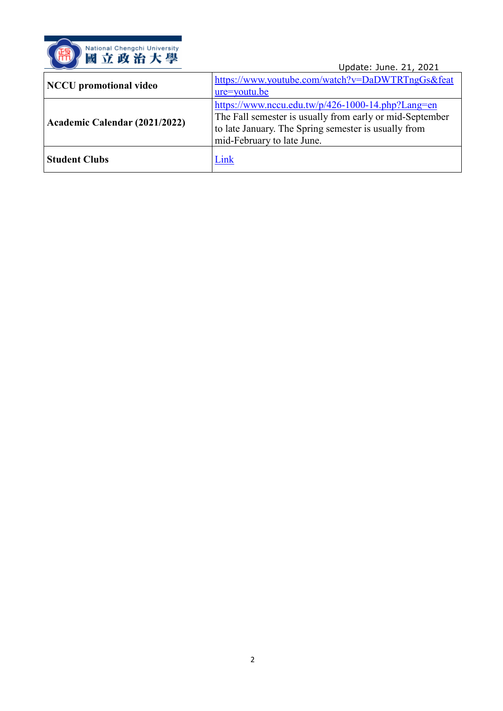

|                               | Update: June. 21, 2021                                                                                                                                                                              |
|-------------------------------|-----------------------------------------------------------------------------------------------------------------------------------------------------------------------------------------------------|
| <b>NCCU</b> promotional video | https://www.youtube.com/watch?v=DaDWTRTngGs&feat<br>$ure=$ youtu.be                                                                                                                                 |
| Academic Calendar (2021/2022) | https://www.nccu.edu.tw/p/426-1000-14.php?Lang=en<br>The Fall semester is usually from early or mid-September<br>to late January. The Spring semester is usually from<br>mid-February to late June. |
| <b>Student Clubs</b>          | Link                                                                                                                                                                                                |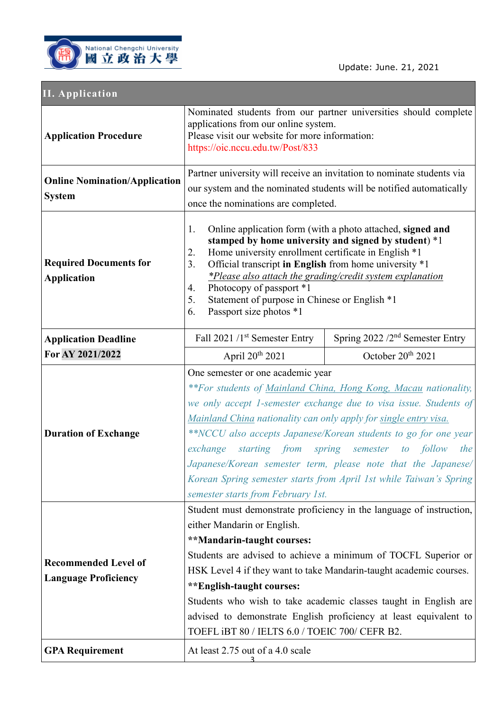

## **II. Application**

| <b>Application Procedure</b>                               | applications from our online system.<br>Please visit our website for more information:<br>https://oic.nccu.edu.tw/Post/833                                                                                                                                                                                                                                                                                                                                                                        | Nominated students from our partner universities should complete                                                                                                                                                                                                                                                                                                                                 |
|------------------------------------------------------------|---------------------------------------------------------------------------------------------------------------------------------------------------------------------------------------------------------------------------------------------------------------------------------------------------------------------------------------------------------------------------------------------------------------------------------------------------------------------------------------------------|--------------------------------------------------------------------------------------------------------------------------------------------------------------------------------------------------------------------------------------------------------------------------------------------------------------------------------------------------------------------------------------------------|
| <b>Online Nomination/Application</b><br><b>System</b>      | once the nominations are completed.                                                                                                                                                                                                                                                                                                                                                                                                                                                               | Partner university will receive an invitation to nominate students via<br>our system and the nominated students will be notified automatically                                                                                                                                                                                                                                                   |
| <b>Required Documents for</b><br><b>Application</b>        | 1.<br>Home university enrollment certificate in English *1<br>2.<br>3.<br>Official transcript in English from home university *1<br>Photocopy of passport *1<br>4.<br>5.<br>Statement of purpose in Chinese or English *1<br>Passport size photos *1<br>6.                                                                                                                                                                                                                                        | Online application form (with a photo attached, signed and<br>stamped by home university and signed by student) *1<br>*Please also attach the grading/credit system explanation                                                                                                                                                                                                                  |
| <b>Application Deadline</b>                                | Fall 2021 /1st Semester Entry                                                                                                                                                                                                                                                                                                                                                                                                                                                                     | Spring $2022 / 2nd$ Semester Entry                                                                                                                                                                                                                                                                                                                                                               |
| For AY 2021/2022                                           | April 20 <sup>th</sup> 2021                                                                                                                                                                                                                                                                                                                                                                                                                                                                       | October 20th 2021                                                                                                                                                                                                                                                                                                                                                                                |
| <b>Duration of Exchange</b>                                | One semester or one academic year<br>Mainland China nationality can only apply for single entry visa.<br>exchange<br>semester starts from February 1st.                                                                                                                                                                                                                                                                                                                                           | **For students of Mainland China, Hong Kong, Macau nationality,<br>we only accept 1-semester exchange due to visa issue. Students of<br>**NCCU also accepts Japanese/Korean students to go for one year<br>starting from spring semester to follow<br>the<br>Japanese/Korean semester term, please note that the Japanese/<br>Korean Spring semester starts from April 1st while Taiwan's Spring |
| <b>Recommended Level of</b><br><b>Language Proficiency</b> | Student must demonstrate proficiency in the language of instruction,<br>either Mandarin or English.<br>**Mandarin-taught courses:<br>Students are advised to achieve a minimum of TOCFL Superior or<br>HSK Level 4 if they want to take Mandarin-taught academic courses.<br>**English-taught courses:<br>Students who wish to take academic classes taught in English are<br>advised to demonstrate English proficiency at least equivalent to<br>TOEFL iBT 80 / IELTS 6.0 / TOEIC 700/ CEFR B2. |                                                                                                                                                                                                                                                                                                                                                                                                  |
| <b>GPA Requirement</b>                                     | At least 2.75 out of a 4.0 scale                                                                                                                                                                                                                                                                                                                                                                                                                                                                  |                                                                                                                                                                                                                                                                                                                                                                                                  |
|                                                            |                                                                                                                                                                                                                                                                                                                                                                                                                                                                                                   |                                                                                                                                                                                                                                                                                                                                                                                                  |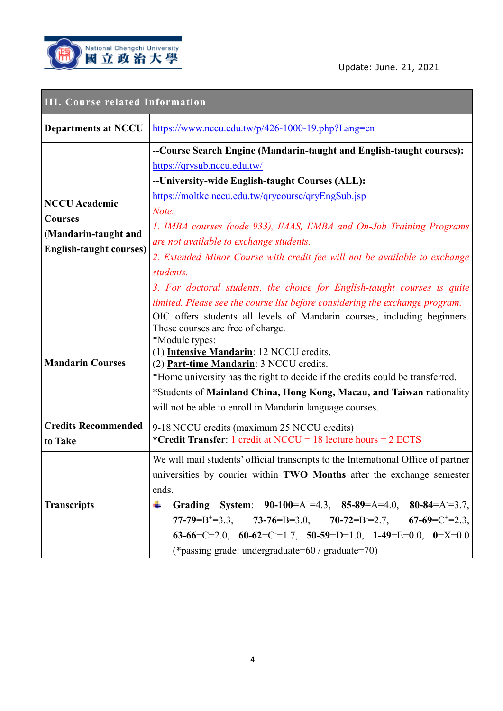

| <b>III. Course related Information</b>                                                           |                                                                                                                                                                                                                                                                                                                                                                                                                                                                                                                              |
|--------------------------------------------------------------------------------------------------|------------------------------------------------------------------------------------------------------------------------------------------------------------------------------------------------------------------------------------------------------------------------------------------------------------------------------------------------------------------------------------------------------------------------------------------------------------------------------------------------------------------------------|
| <b>Departments at NCCU</b>                                                                       | $\frac{https://www.nccu.edu.tw/p/426-1000-19.php?Lang=en}{https://www.nccu.edu.tw/p/426-1000-19.php?Lang=en}$                                                                                                                                                                                                                                                                                                                                                                                                                |
| <b>NCCU</b> Academic<br><b>Courses</b><br>(Mandarin-taught and<br><b>English-taught courses)</b> | --Course Search Engine (Mandarin-taught and English-taught courses):<br>https://qrysub.nccu.edu.tw/<br>-- University-wide English-taught Courses (ALL):<br>https://moltke.nccu.edu.tw/qrycourse/qryEngSub.jsp<br>Note:<br>1. IMBA courses (code 933), IMAS, EMBA and On-Job Training Programs<br>are not available to exchange students.<br>2. Extended Minor Course with credit fee will not be available to exchange<br>students.<br>3. For doctoral students, the choice for English-taught courses is quite              |
| <b>Mandarin Courses</b>                                                                          | limited. Please see the course list before considering the exchange program.<br>OIC offers students all levels of Mandarin courses, including beginners.<br>These courses are free of charge.<br>*Module types:<br>(1) Intensive Mandarin: 12 NCCU credits.<br>(2) Part-time Mandarin: 3 NCCU credits.<br>*Home university has the right to decide if the credits could be transferred.<br>*Students of Mainland China, Hong Kong, Macau, and Taiwan nationality<br>will not be able to enroll in Mandarin language courses. |
| <b>Credits Recommended</b><br>to Take                                                            | 9-18 NCCU credits (maximum 25 NCCU credits)<br>*Credit Transfer: 1 credit at NCCU = 18 lecture hours = $2$ ECTS                                                                                                                                                                                                                                                                                                                                                                                                              |
| <b>Transcripts</b>                                                                               | We will mail students' official transcripts to the International Office of partner<br>universities by courier within TWO Months after the exchange semester<br>ends.<br>Grading System: $90-100=A^{\dagger}=4.3$ , $85-89=A=4.0$ , $80-84=A=3.7$ ,<br>÷<br>77-79=B <sup>+</sup> =3.3, 73-76=B=3.0, 70-72=B=2.7, 67-69=C <sup>+</sup> =2.3,<br>63-66=C=2.0, 60-62=C=1.7, 50-59=D=1.0, 1-49=E=0.0, 0=X=0.0<br>(*passing grade: undergraduate= $60 /$ graduate= $70$ )                                                          |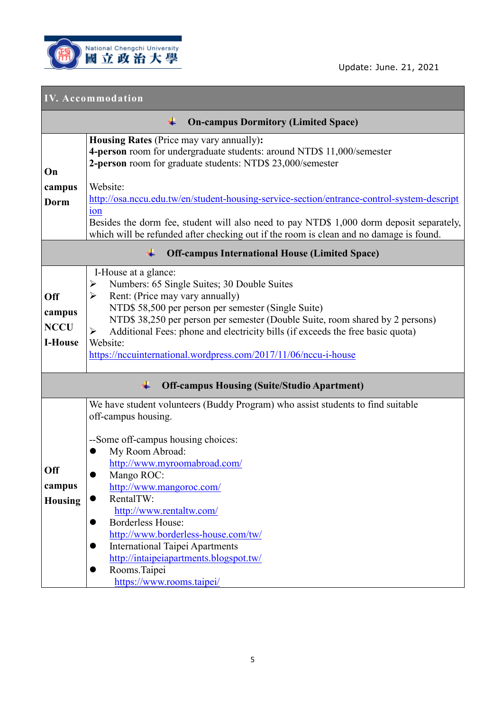

Update: June. 21, 2021

## **IV. Accommodation**

| <b>On-campus Dormitory (Limited Space)</b>            |                                                                                                                                                                                                                                                                                                                                                                                                                                                                                                                  |
|-------------------------------------------------------|------------------------------------------------------------------------------------------------------------------------------------------------------------------------------------------------------------------------------------------------------------------------------------------------------------------------------------------------------------------------------------------------------------------------------------------------------------------------------------------------------------------|
| On<br>campus                                          | Housing Rates (Price may vary annually):<br>4-person room for undergraduate students: around NTD\$ 11,000/semester<br>2-person room for graduate students: NTD\$ 23,000/semester<br>Website:                                                                                                                                                                                                                                                                                                                     |
| Dorm                                                  | http://osa.nccu.edu.tw/en/student-housing-service-section/entrance-control-system-descript<br>ion<br>Besides the dorm fee, student will also need to pay NTD\$ 1,000 dorm deposit separately,<br>which will be refunded after checking out if the room is clean and no damage is found.                                                                                                                                                                                                                          |
| <b>Off-campus International House (Limited Space)</b> |                                                                                                                                                                                                                                                                                                                                                                                                                                                                                                                  |
| <b>Off</b><br>campus<br><b>NCCU</b><br><b>I-House</b> | I-House at a glance:<br>Numbers: 65 Single Suites; 30 Double Suites<br>➤<br>Rent: (Price may vary annually)<br>➤<br>NTD\$ 58,500 per person per semester (Single Suite)<br>NTD\$ 38,250 per person per semester (Double Suite, room shared by 2 persons)<br>Additional Fees: phone and electricity bills (if exceeds the free basic quota)<br>➤<br>Website:<br>https://nccuinternational.wordpress.com/2017/11/06/nccu-i-house                                                                                   |
|                                                       | ∔<br><b>Off-campus Housing (Suite/Studio Apartment)</b>                                                                                                                                                                                                                                                                                                                                                                                                                                                          |
| <b>Off</b><br>campus<br><b>Housing</b>                | We have student volunteers (Buddy Program) who assist students to find suitable<br>off-campus housing.<br>--Some off-campus housing choices:<br>My Room Abroad:<br>http://www.myroomabroad.com/<br>Mango ROC:<br>http://www.mangoroc.com/<br>RentalTW:<br>http://www.rentaltw.com/<br><b>Borderless House:</b><br>$\bullet$<br>http://www.borderless-house.com/tw/<br><b>International Taipei Apartments</b><br>http://intaipeiapartments.blogspot.tw/<br>Rooms.Taipei<br>$\bullet$<br>https://www.rooms.taipei/ |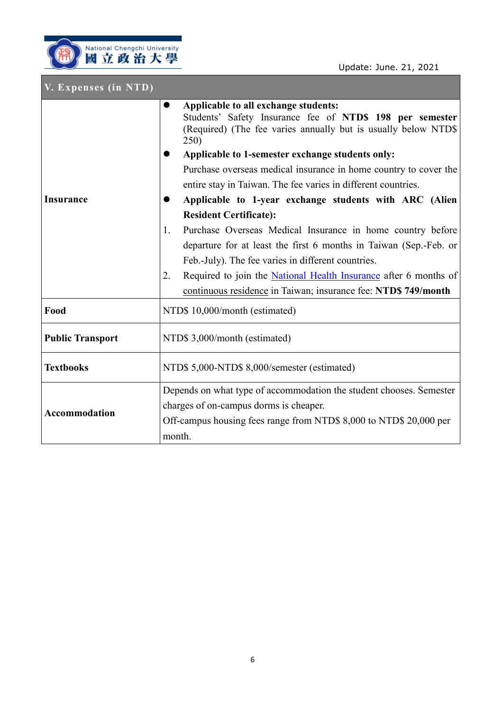П 1

| V. Expenses (in NTD)    |                                                                                                                                                                                                                                                                                                                                                                                                                                                                                                                                                                                                                                                                                                                                                                                                                        |
|-------------------------|------------------------------------------------------------------------------------------------------------------------------------------------------------------------------------------------------------------------------------------------------------------------------------------------------------------------------------------------------------------------------------------------------------------------------------------------------------------------------------------------------------------------------------------------------------------------------------------------------------------------------------------------------------------------------------------------------------------------------------------------------------------------------------------------------------------------|
| <b>Insurance</b>        | Applicable to all exchange students:<br>$\bullet$<br>Students' Safety Insurance fee of NTD\$ 198 per semester<br>(Required) (The fee varies annually but is usually below NTD\$<br>250)<br>Applicable to 1-semester exchange students only:<br>Purchase overseas medical insurance in home country to cover the<br>entire stay in Taiwan. The fee varies in different countries.<br>Applicable to 1-year exchange students with ARC (Alien<br><b>Resident Certificate):</b><br>Purchase Overseas Medical Insurance in home country before<br>1.<br>departure for at least the first 6 months in Taiwan (Sep.-Feb. or<br>Feb.-July). The fee varies in different countries.<br>Required to join the National Health Insurance after 6 months of<br>2.<br>continuous residence in Taiwan; insurance fee: NTD\$ 749/month |
| Food                    | NTD\$ 10,000/month (estimated)                                                                                                                                                                                                                                                                                                                                                                                                                                                                                                                                                                                                                                                                                                                                                                                         |
| <b>Public Transport</b> | NTD\$ 3,000/month (estimated)                                                                                                                                                                                                                                                                                                                                                                                                                                                                                                                                                                                                                                                                                                                                                                                          |
| <b>Textbooks</b>        | NTD\$ 5,000-NTD\$ 8,000/semester (estimated)                                                                                                                                                                                                                                                                                                                                                                                                                                                                                                                                                                                                                                                                                                                                                                           |
| <b>Accommodation</b>    | Depends on what type of accommodation the student chooses. Semester<br>charges of on-campus dorms is cheaper.<br>Off-campus housing fees range from NTD\$ 8,000 to NTD\$ 20,000 per<br>month.                                                                                                                                                                                                                                                                                                                                                                                                                                                                                                                                                                                                                          |